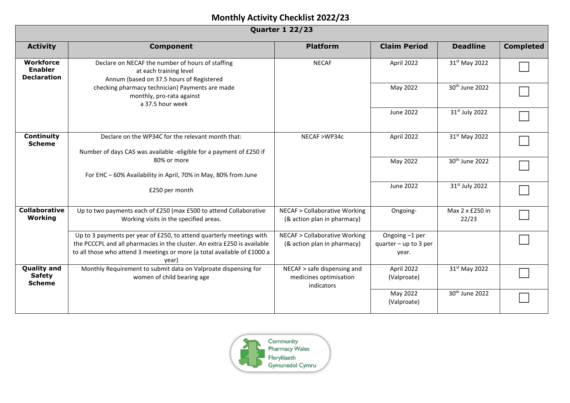| <b>Quarter 1 22/23</b>                                   |                                                                                                                                                                                                                                       |                                                                                                                  |                                                    |                            |                  |  |  |
|----------------------------------------------------------|---------------------------------------------------------------------------------------------------------------------------------------------------------------------------------------------------------------------------------------|------------------------------------------------------------------------------------------------------------------|----------------------------------------------------|----------------------------|------------------|--|--|
| <b>Activity</b>                                          | <b>Component</b>                                                                                                                                                                                                                      | <b>Platform</b>                                                                                                  | <b>Claim Period</b>                                | <b>Deadline</b>            | <b>Completed</b> |  |  |
| <b>Workforce</b><br><b>Enabler</b><br><b>Declaration</b> | Declare on NECAF the number of hours of staffing<br>at each training level<br>Annum (based on 37.5 hours of Registered                                                                                                                | <b>NECAF</b><br>checking pharmacy technician) Payments are made<br>monthly, pro-rata against<br>a 37.5 hour week | April 2022                                         | 31st May 2022              |                  |  |  |
|                                                          |                                                                                                                                                                                                                                       |                                                                                                                  | May 2022                                           | 30 <sup>th</sup> June 2022 |                  |  |  |
|                                                          |                                                                                                                                                                                                                                       |                                                                                                                  | June 2022                                          | 31 <sup>st</sup> July 2022 |                  |  |  |
| Continuity<br><b>Scheme</b>                              | Declare on the WP34C for the relevant month that:<br>Number of days CAS was available -eligible for a payment of £250 if                                                                                                              | NECAF >WP34c                                                                                                     | April 2022                                         | 31st May 2022              |                  |  |  |
|                                                          | 80% or more<br>For EHC - 60% Availability in April, 70% in May, 80% from June                                                                                                                                                         |                                                                                                                  | May 2022                                           | 30 <sup>th</sup> June 2022 |                  |  |  |
|                                                          | £250 per month                                                                                                                                                                                                                        |                                                                                                                  | June 2022                                          | 31st July 2022             |                  |  |  |
| <b>Collaborative</b><br>Working                          | Up to two payments each of £250 (max £500 to attend Collaborative<br>Working visits in the specified areas.                                                                                                                           | <b>NECAF &gt; Collaborative Working</b><br>(& action plan in pharmacy)                                           | Ongoing-                                           | Max 2 x £250 in<br>22/23   |                  |  |  |
|                                                          | Up to 3 payments per year of £250, to attend quarterly meetings with<br>the PCCCPL and all pharmacies in the cluster. An extra £250 is available<br>to all those who attend 3 meetings or more (a total available of £1000 a<br>year) | <b>NECAF &gt; Collaborative Working</b><br>(& action plan in pharmacy)                                           | Ongoing -1 per<br>quarter $-$ up to 3 per<br>year. |                            |                  |  |  |
| <b>Quality and</b><br><b>Safety</b><br><b>Scheme</b>     | Monthly Requirement to submit data on Valproate dispensing for<br>women of child bearing age                                                                                                                                          | NECAF > safe dispensing and<br>medicines optimisation<br>indicators                                              | April 2022<br>(Valproate)                          | 31st May 2022              |                  |  |  |
|                                                          |                                                                                                                                                                                                                                       |                                                                                                                  | May 2022<br>(Valproate)                            | 30 <sup>th</sup> June 2022 |                  |  |  |

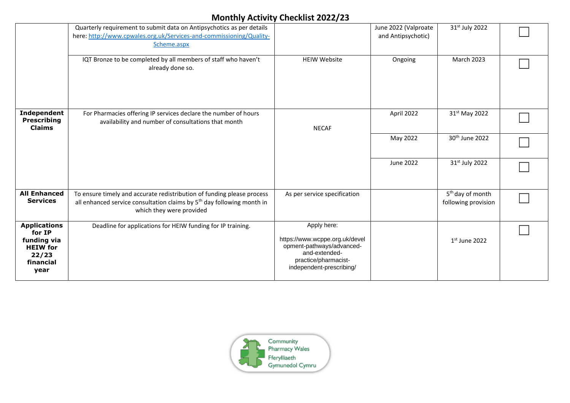|                                                                                               | Quarterly requirement to submit data on Antipsychotics as per details<br>here: http://www.cpwales.org.uk/Services-and-commissioning/Quality-<br>Scheme.aspx                              |                                                                                                                                                 | June 2022 (Valproate<br>and Antipsychotic) | 31st July 2022                                      |  |
|-----------------------------------------------------------------------------------------------|------------------------------------------------------------------------------------------------------------------------------------------------------------------------------------------|-------------------------------------------------------------------------------------------------------------------------------------------------|--------------------------------------------|-----------------------------------------------------|--|
|                                                                                               | IQT Bronze to be completed by all members of staff who haven't<br>already done so.                                                                                                       | <b>HEIW Website</b>                                                                                                                             | Ongoing                                    | March 2023                                          |  |
| Independent<br><b>Prescribing</b><br><b>Claims</b>                                            | For Pharmacies offering IP services declare the number of hours<br>availability and number of consultations that month                                                                   | <b>NECAF</b>                                                                                                                                    | April 2022                                 | 31 <sup>st</sup> May 2022                           |  |
|                                                                                               |                                                                                                                                                                                          |                                                                                                                                                 | May 2022                                   | 30 <sup>th</sup> June 2022                          |  |
|                                                                                               |                                                                                                                                                                                          |                                                                                                                                                 | June 2022                                  | 31st July 2022                                      |  |
| <b>All Enhanced</b><br><b>Services</b>                                                        | To ensure timely and accurate redistribution of funding please process<br>all enhanced service consultation claims by 5 <sup>th</sup> day following month in<br>which they were provided | As per service specification                                                                                                                    |                                            | 5 <sup>th</sup> day of month<br>following provision |  |
| <b>Applications</b><br>for IP<br>funding via<br><b>HEIW</b> for<br>22/23<br>financial<br>year | Deadline for applications for HEIW funding for IP training.                                                                                                                              | Apply here:<br>https://www.wcppe.org.uk/devel<br>opment-pathways/advanced-<br>and-extended-<br>practice/pharmacist-<br>independent-prescribing/ |                                            | $1st$ June 2022                                     |  |

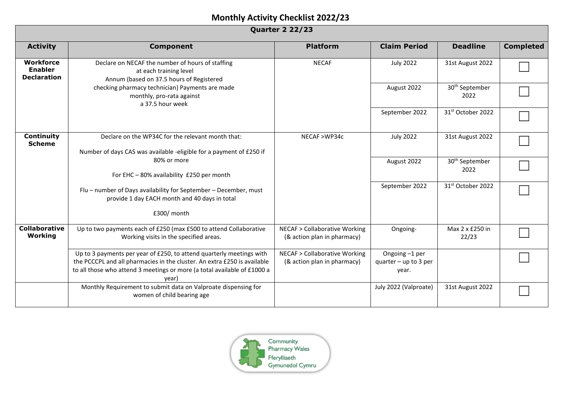| <b>Quarter 2 22/23</b>                                   |                                                                                                                                                                                                                                       |                                                                        |                                                    |                                    |                  |  |
|----------------------------------------------------------|---------------------------------------------------------------------------------------------------------------------------------------------------------------------------------------------------------------------------------------|------------------------------------------------------------------------|----------------------------------------------------|------------------------------------|------------------|--|
| <b>Activity</b>                                          | <b>Component</b>                                                                                                                                                                                                                      | <b>Platform</b>                                                        | <b>Claim Period</b>                                | <b>Deadline</b>                    | <b>Completed</b> |  |
| <b>Workforce</b><br><b>Enabler</b><br><b>Declaration</b> | Declare on NECAF the number of hours of staffing<br>at each training level<br>Annum (based on 37.5 hours of Registered<br>checking pharmacy technician) Payments are made<br>monthly, pro-rata against<br>a 37.5 hour week            | <b>NECAF</b>                                                           | <b>July 2022</b>                                   | 31st August 2022                   |                  |  |
|                                                          |                                                                                                                                                                                                                                       |                                                                        | August 2022                                        | 30 <sup>th</sup> September<br>2022 |                  |  |
|                                                          |                                                                                                                                                                                                                                       |                                                                        | September 2022                                     | 31st October 2022                  |                  |  |
| Continuity<br><b>Scheme</b>                              | Declare on the WP34C for the relevant month that:<br>Number of days CAS was available -eligible for a payment of £250 if                                                                                                              | NECAF >WP34c                                                           | <b>July 2022</b>                                   | 31st August 2022                   |                  |  |
|                                                          | 80% or more<br>For EHC - 80% availability £250 per month                                                                                                                                                                              |                                                                        | August 2022                                        | 30 <sup>th</sup> September<br>2022 |                  |  |
|                                                          | Flu - number of Days availability for September - December, must<br>provide 1 day EACH month and 40 days in total                                                                                                                     |                                                                        | September 2022                                     | 31st October 2022                  |                  |  |
|                                                          | £300/ month                                                                                                                                                                                                                           |                                                                        |                                                    |                                    |                  |  |
| Collaborative<br>Working                                 | Up to two payments each of £250 (max £500 to attend Collaborative<br>Working visits in the specified areas.                                                                                                                           | <b>NECAF &gt; Collaborative Working</b><br>(& action plan in pharmacy) | Ongoing-                                           | Max 2 x £250 in<br>22/23           |                  |  |
|                                                          | Up to 3 payments per year of £250, to attend quarterly meetings with<br>the PCCCPL and all pharmacies in the cluster. An extra £250 is available<br>to all those who attend 3 meetings or more (a total available of £1000 a<br>vear) | <b>NECAF &gt; Collaborative Working</b><br>(& action plan in pharmacy) | Ongoing -1 per<br>quarter $-$ up to 3 per<br>year. |                                    |                  |  |
|                                                          | Monthly Requirement to submit data on Valproate dispensing for<br>women of child bearing age                                                                                                                                          |                                                                        | July 2022 (Valproate)                              | 31st August 2022                   |                  |  |

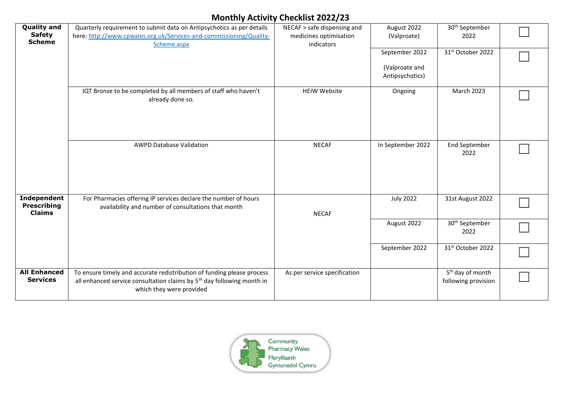| <b>Quality and</b><br><b>Safety</b><br><b>Scheme</b> | Quarterly requirement to submit data on Antipsychotics as per details<br>here: http://www.cpwales.org.uk/Services-and-commissioning/Quality-<br>Scheme.aspx                              | NECAF > safe dispensing and<br>medicines optimisation<br>indicators | August 2022<br>(Valproate)                          | 30 <sup>th</sup> September<br>2022                  |  |
|------------------------------------------------------|------------------------------------------------------------------------------------------------------------------------------------------------------------------------------------------|---------------------------------------------------------------------|-----------------------------------------------------|-----------------------------------------------------|--|
|                                                      |                                                                                                                                                                                          |                                                                     | September 2022<br>(Valproate and<br>Antipsychotics) | 31st October 2022                                   |  |
|                                                      | IQT Bronze to be completed by all members of staff who haven't<br>already done so.                                                                                                       | <b>HEIW Website</b>                                                 | Ongoing                                             | <b>March 2023</b>                                   |  |
|                                                      | <b>AWPD Database Validation</b>                                                                                                                                                          | <b>NECAF</b>                                                        | In September 2022                                   | <b>End September</b><br>2022                        |  |
| Independent<br><b>Prescribing</b><br><b>Claims</b>   | For Pharmacies offering IP services declare the number of hours<br>availability and number of consultations that month                                                                   | <b>NECAF</b>                                                        | <b>July 2022</b>                                    | 31st August 2022                                    |  |
|                                                      |                                                                                                                                                                                          |                                                                     | August 2022                                         | 30 <sup>th</sup> September<br>2022                  |  |
|                                                      |                                                                                                                                                                                          |                                                                     | September 2022                                      | 31st October 2022                                   |  |
| <b>All Enhanced</b><br><b>Services</b>               | To ensure timely and accurate redistribution of funding please process<br>all enhanced service consultation claims by 5 <sup>th</sup> day following month in<br>which they were provided | As per service specification                                        |                                                     | 5 <sup>th</sup> day of month<br>following provision |  |

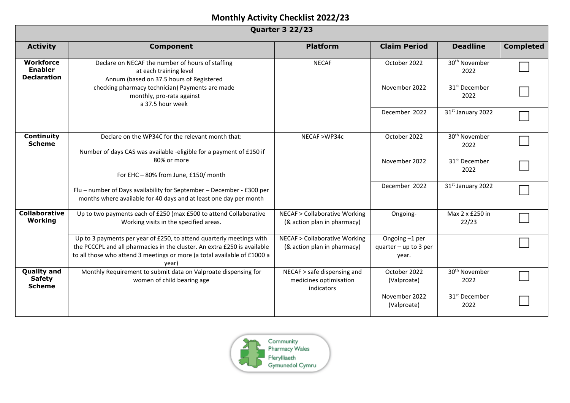| <b>Quarter 3 22/23</b>                                   |                                                                                                                                                                                                                                       |                                                                        |                                                    |                                   |                  |  |
|----------------------------------------------------------|---------------------------------------------------------------------------------------------------------------------------------------------------------------------------------------------------------------------------------------|------------------------------------------------------------------------|----------------------------------------------------|-----------------------------------|------------------|--|
| <b>Activity</b>                                          | <b>Component</b>                                                                                                                                                                                                                      | <b>Platform</b>                                                        | <b>Claim Period</b>                                | <b>Deadline</b>                   | <b>Completed</b> |  |
| <b>Workforce</b><br><b>Enabler</b><br><b>Declaration</b> | Declare on NECAF the number of hours of staffing<br>at each training level<br>Annum (based on 37.5 hours of Registered<br>checking pharmacy technician) Payments are made<br>monthly, pro-rata against<br>a 37.5 hour week            | <b>NECAF</b>                                                           | October 2022                                       | 30 <sup>th</sup> November<br>2022 |                  |  |
|                                                          |                                                                                                                                                                                                                                       |                                                                        | November 2022                                      | 31 <sup>st</sup> December<br>2022 |                  |  |
|                                                          |                                                                                                                                                                                                                                       |                                                                        | December 2022                                      | 31st January 2022                 |                  |  |
| <b>Continuity</b><br><b>Scheme</b>                       | Declare on the WP34C for the relevant month that:<br>Number of days CAS was available -eligible for a payment of £150 if                                                                                                              | NECAF >WP34c                                                           | October 2022                                       | 30 <sup>th</sup> November<br>2022 |                  |  |
|                                                          | 80% or more<br>For EHC - 80% from June, £150/ month                                                                                                                                                                                   |                                                                        | November 2022                                      | 31 <sup>st</sup> December<br>2022 |                  |  |
|                                                          | Flu - number of Days availability for September - December - £300 per<br>months where available for 40 days and at least one day per month                                                                                            |                                                                        | December 2022                                      | 31st January 2022                 |                  |  |
| <b>Collaborative</b><br>Working                          | Up to two payments each of £250 (max £500 to attend Collaborative<br>Working visits in the specified areas.                                                                                                                           | <b>NECAF &gt; Collaborative Working</b><br>(& action plan in pharmacy) | Ongoing-                                           | Max 2 x £250 in<br>22/23          |                  |  |
|                                                          | Up to 3 payments per year of £250, to attend quarterly meetings with<br>the PCCCPL and all pharmacies in the cluster. An extra £250 is available<br>to all those who attend 3 meetings or more (a total available of £1000 a<br>vear) | <b>NECAF &gt; Collaborative Working</b><br>(& action plan in pharmacy) | Ongoing -1 per<br>quarter $-$ up to 3 per<br>year. |                                   |                  |  |
| <b>Quality and</b><br><b>Safety</b><br><b>Scheme</b>     | Monthly Requirement to submit data on Valproate dispensing for<br>women of child bearing age                                                                                                                                          | NECAF > safe dispensing and<br>medicines optimisation<br>indicators    | October 2022<br>(Valproate)                        | 30 <sup>th</sup> November<br>2022 |                  |  |
|                                                          |                                                                                                                                                                                                                                       |                                                                        | November 2022<br>(Valproate)                       | 31 <sup>st</sup> December<br>2022 |                  |  |

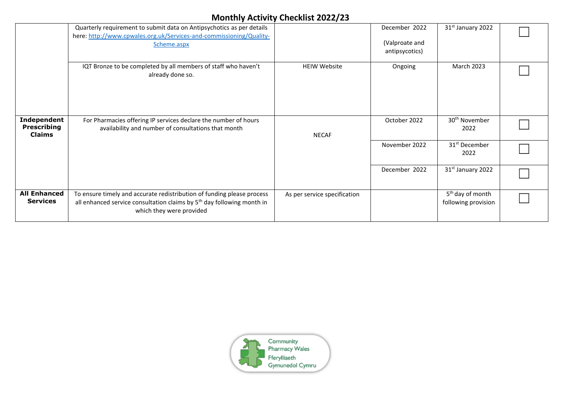|                                                    | Quarterly requirement to submit data on Antipsychotics as per details                                                                                                                    |                              | December 2022  | 31 <sup>st</sup> January 2022                       |  |
|----------------------------------------------------|------------------------------------------------------------------------------------------------------------------------------------------------------------------------------------------|------------------------------|----------------|-----------------------------------------------------|--|
|                                                    | here: http://www.cpwales.org.uk/Services-and-commissioning/Quality-                                                                                                                      |                              |                |                                                     |  |
|                                                    | Scheme.aspx                                                                                                                                                                              |                              | (Valproate and |                                                     |  |
|                                                    |                                                                                                                                                                                          |                              | antipsycotics) |                                                     |  |
|                                                    |                                                                                                                                                                                          |                              |                |                                                     |  |
|                                                    | IQT Bronze to be completed by all members of staff who haven't<br>already done so.                                                                                                       | <b>HEIW Website</b>          | Ongoing        | March 2023                                          |  |
|                                                    |                                                                                                                                                                                          |                              |                |                                                     |  |
| Independent<br><b>Prescribing</b><br><b>Claims</b> | For Pharmacies offering IP services declare the number of hours<br>availability and number of consultations that month                                                                   | <b>NECAF</b>                 | October 2022   | 30 <sup>th</sup> November<br>2022                   |  |
|                                                    |                                                                                                                                                                                          |                              | November 2022  | 31 <sup>st</sup> December<br>2022                   |  |
|                                                    |                                                                                                                                                                                          |                              | December 2022  | 31st January 2022                                   |  |
| <b>All Enhanced</b><br><b>Services</b>             | To ensure timely and accurate redistribution of funding please process<br>all enhanced service consultation claims by 5 <sup>th</sup> day following month in<br>which they were provided | As per service specification |                | 5 <sup>th</sup> day of month<br>following provision |  |

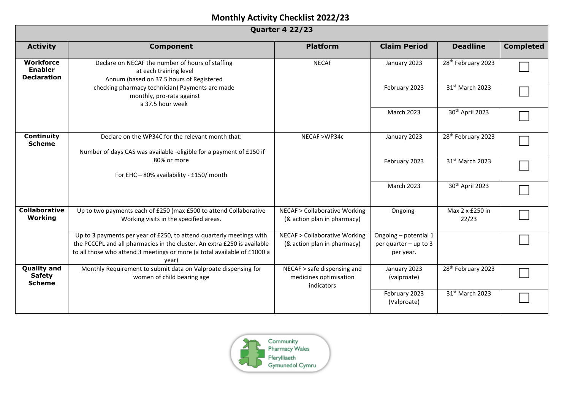| <b>Quarter 4 22/23</b>                                   |                                                                                                                                                                                                                                       |                                                                        |                                                             |                                |                  |  |
|----------------------------------------------------------|---------------------------------------------------------------------------------------------------------------------------------------------------------------------------------------------------------------------------------------|------------------------------------------------------------------------|-------------------------------------------------------------|--------------------------------|------------------|--|
| <b>Activity</b>                                          | <b>Component</b>                                                                                                                                                                                                                      | <b>Platform</b>                                                        | <b>Claim Period</b>                                         | <b>Deadline</b>                | <b>Completed</b> |  |
| <b>Workforce</b><br><b>Enabler</b><br><b>Declaration</b> | Declare on NECAF the number of hours of staffing<br>at each training level<br>Annum (based on 37.5 hours of Registered<br>checking pharmacy technician) Payments are made<br>monthly, pro-rata against<br>a 37.5 hour week            | <b>NECAF</b>                                                           | January 2023                                                | 28 <sup>th</sup> February 2023 |                  |  |
|                                                          |                                                                                                                                                                                                                                       |                                                                        | February 2023                                               | 31st March 2023                |                  |  |
|                                                          |                                                                                                                                                                                                                                       |                                                                        | <b>March 2023</b>                                           | 30 <sup>th</sup> April 2023    |                  |  |
| Continuity<br><b>Scheme</b>                              | Declare on the WP34C for the relevant month that:<br>Number of days CAS was available -eligible for a payment of £150 if<br>80% or more<br>For EHC - 80% availability - £150/ month                                                   | NECAF >WP34c                                                           | January 2023                                                | 28 <sup>th</sup> February 2023 |                  |  |
|                                                          |                                                                                                                                                                                                                                       |                                                                        | February 2023                                               | 31st March 2023                |                  |  |
|                                                          |                                                                                                                                                                                                                                       |                                                                        | <b>March 2023</b>                                           | 30th April 2023                |                  |  |
| <b>Collaborative</b><br>Working                          | Up to two payments each of £250 (max £500 to attend Collaborative<br>Working visits in the specified areas.                                                                                                                           | <b>NECAF &gt; Collaborative Working</b><br>(& action plan in pharmacy) | Ongoing-                                                    | Max 2 x £250 in<br>22/23       |                  |  |
|                                                          | Up to 3 payments per year of £250, to attend quarterly meetings with<br>the PCCCPL and all pharmacies in the cluster. An extra £250 is available<br>to all those who attend 3 meetings or more (a total available of £1000 a<br>year) | <b>NECAF &gt; Collaborative Working</b><br>(& action plan in pharmacy) | Ongoing - potential 1<br>per quarter - up to 3<br>per year. |                                |                  |  |
| <b>Quality and</b><br><b>Safety</b><br><b>Scheme</b>     | Monthly Requirement to submit data on Valproate dispensing for<br>women of child bearing age                                                                                                                                          | NECAF > safe dispensing and<br>medicines optimisation<br>indicators    | January 2023<br>(valproate)                                 | 28 <sup>th</sup> February 2023 |                  |  |
|                                                          |                                                                                                                                                                                                                                       |                                                                        | February 2023<br>(Valproate)                                | 31st March 2023                |                  |  |